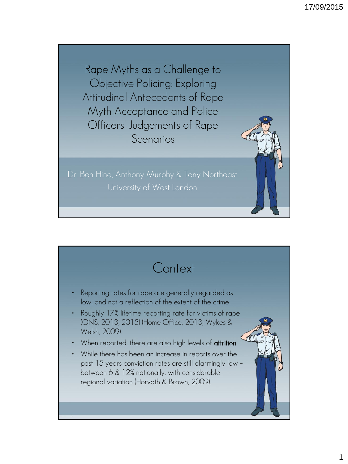Rape Myths as a Challenge to Objective Policing: Exploring Attitudinal Antecedents of Rape Myth Acceptance and Police Officers' Judgements of Rape Scenarios

Dr. Ben Hine, Anthony Murphy & Tony Northeast

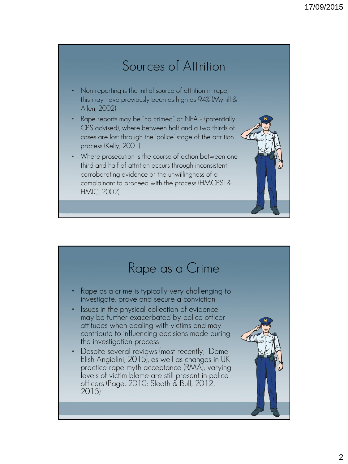## Sources of Attrition

- Non-reporting is the initial source of attrition in rape, this may have previously been as high as 94% (Myhill & Allen, 2002)
- Rape reports may be "no crimed" or NFA (potentially CPS advised), where between half and a two thirds of cases are lost through the 'police' stage of the attrition process (Kelly, 2001)
- Where prosecution is the course of action between one third and half of attrition occurs through inconsistent corroborating evidence or the unwillingness of a complainant to proceed with the process (HMCPSI & HMIC, 2002)

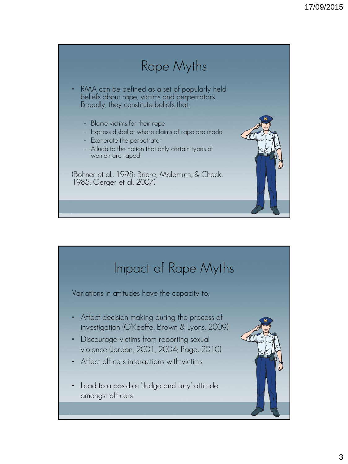# Rape Myths

- RMA can be defined as a set of popularly held beliefs about rape, victims and perpetrators. Broadly, they constitute beliefs that:
	- Blame victims for their rape
	- Express disbelief where claims of rape are made
	- Exonerate the perpetrator
	- Allude to the notion that only certain types of women are raped

(Bohner et al., 1998; Briere, Malamuth, & Check, 1985; Gerger et al, 2007)



## Impact of Rape Myths

Variations in attitudes have the capacity to:

- Affect decision making during the process of investigation (O'Keeffe, Brown & Lyons, 2009)
- Discourage victims from reporting sexual violence (Jordan, 2001, 2004; Page, 2010)
- Affect officers interactions with victims
- Lead to a possible 'Judge and Jury' attitude amongst officers

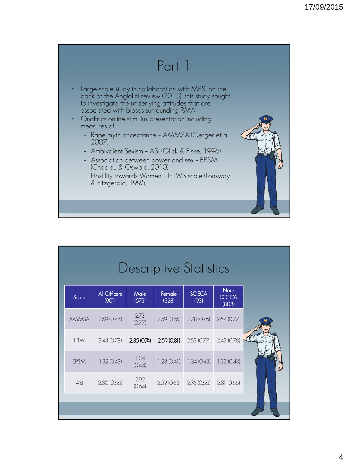

| Descriptive Statistics |                       |                |                 |                           |                               |  |
|------------------------|-----------------------|----------------|-----------------|---------------------------|-------------------------------|--|
| Scale                  | All Officers<br>(901) | Male<br>(573)  | Female<br>(328) | <b>SOECA</b><br>(93)      | Non-<br><b>SOECA</b><br>(808) |  |
| <b>AMMSA</b>           | 2.69(0.77)            | 2.73<br>(0.77) | 2.59(0.76)      | 2.78(0.76)                | 2.67(0.77)                    |  |
| <b>HTW</b>             | 2.43(0.78)            | 2.35(0.74)     |                 | $2.59(0.81)$ $2.53(0.77)$ | 2.42(0.78)                    |  |
| <b>EPSM</b>            | 1.32(0.43)            | 1.34<br>(0.44) | 1.28(0.41)      | 1.34(0.43)                | 1.32(0.43)                    |  |
| ASI                    | 2.80(0.66)            | 292<br>(0.64)  | 2.59(0.63)      | 2.76(0.66)                | 2.81(0.66)                    |  |
|                        |                       |                |                 |                           |                               |  |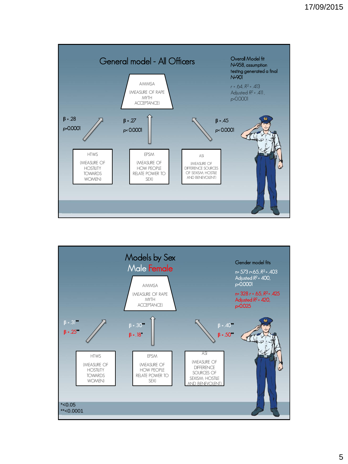

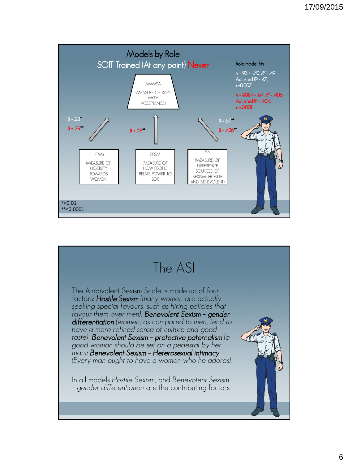

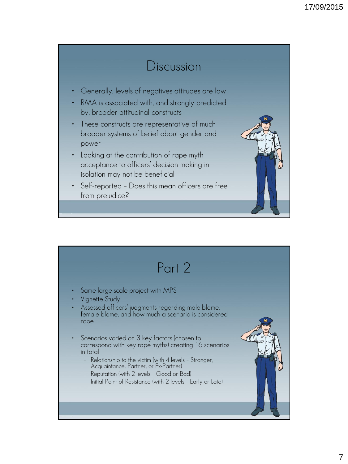#### Discussion • Generally, levels of negatives attitudes are low • RMA is associated with, and strongly predicted by, broader attitudinal constructs These constructs are representative of much broader systems of belief about gender and power • Looking at the contribution of rape myth acceptance to officers' decision making in isolation may not be beneficial • Self-reported – Does this mean officers are free from prejudice?

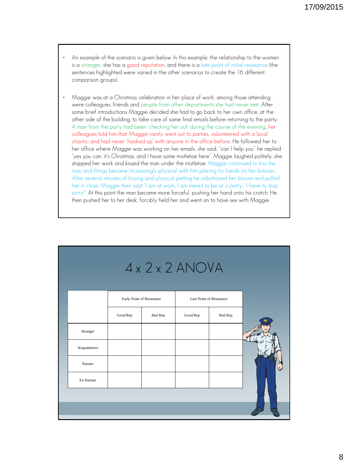- An example of the scenario is given below. In this example, the relationship to the women is a stranger, she has a good reputation, and there is a late point of initial resistance (the sentences highlighted were varied in the other scenarios to create the 16 different comparison groups).
- Maggie was at a Christmas celebration in her place of work, among those attending were colleagues, friends and people from other departments she had never met. After some brief introductions Maggie decided she had to go back to her own office, at the other side of the building, to take care of some final emails before returning to the party. A man from the party had been 'checking her out' during the course of the evening, her colleagues told him that Maggie rarely went out to parties, volunteered with a local charity, and had never 'hooked up' with anyone in the office before. He followed her to her office where Maggie was working on her emails, she said, "can I help you" he replied "yes you can, it's Christmas, and I have some mistletoe here". Maggie laughed politely; she stopped her work and kissed the man under the mistletoe. Maggie continued to kiss the man and things became increasingly physical with him placing his hands on her breasts. After several minutes of kissing and physical petting he unbuttoned her blouse and pulled her in close. Maggie then said "I am at work, I am meant to be at a party… I have to stop sorry!" At this point the man became more forceful, pushing her hand onto his crotch. He then pushed her to her desk, forcibly held her and went on to have sex with Maggie.

| $4 \times 2 \times 2$ ANOVA |                           |                |                          |                |  |  |  |
|-----------------------------|---------------------------|----------------|--------------------------|----------------|--|--|--|
|                             | Early Point of Resistance |                | Late Point of Resistance |                |  |  |  |
|                             | Good Rep                  | <b>Bad Rep</b> | Good Rep                 | <b>Bad Rep</b> |  |  |  |
| Stranger                    |                           |                |                          |                |  |  |  |
| Acquaintance                |                           |                |                          |                |  |  |  |
| Partner                     |                           |                |                          |                |  |  |  |
| Ex-Partner                  |                           |                |                          |                |  |  |  |
|                             |                           |                |                          |                |  |  |  |
|                             |                           |                |                          |                |  |  |  |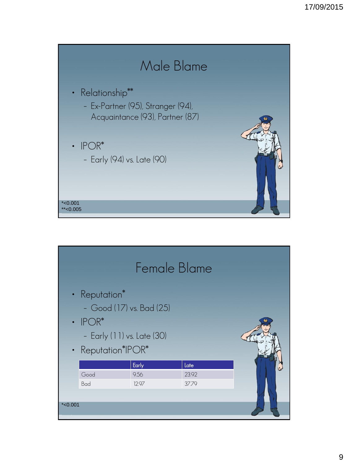

|           | Female Blame                                                                                                   |       |       |  |  |  |  |
|-----------|----------------------------------------------------------------------------------------------------------------|-------|-------|--|--|--|--|
|           | • Reputation*<br>- Good (17) vs. Bad (25)<br>$\cdot$ IPOR*<br>- Early (11) vs. Late (30)<br>• Reputation*IPOR* |       |       |  |  |  |  |
|           |                                                                                                                | Early | Late  |  |  |  |  |
|           | Good                                                                                                           | 9.56  | 23.92 |  |  |  |  |
|           | Bad                                                                                                            | 12.97 | 37.79 |  |  |  |  |
| $*<0.001$ |                                                                                                                |       |       |  |  |  |  |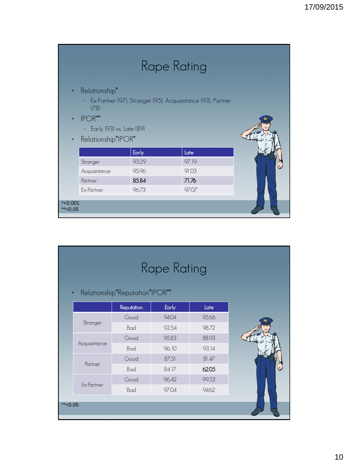| Rape Rating              |                                                                                                                                                          |       |       |  |  |  |  |
|--------------------------|----------------------------------------------------------------------------------------------------------------------------------------------------------|-------|-------|--|--|--|--|
| $\bullet$<br>$\bullet$   | • Relationship*<br>- Ex-Partner (97), Stranger (95), Acquaintance (93), Partner<br>(78)<br>$IPOR***$<br>- Early (93) vs. Late (89)<br>Relationship*IPOR* |       |       |  |  |  |  |
|                          |                                                                                                                                                          | Early | Late  |  |  |  |  |
|                          | Stranger                                                                                                                                                 | 93.29 | 97.19 |  |  |  |  |
|                          | Acquaintance                                                                                                                                             | 95.96 | 91.03 |  |  |  |  |
|                          | Partner                                                                                                                                                  | 85.84 | 71.76 |  |  |  |  |
|                          | Ex-Partner                                                                                                                                               | 96.73 | 97.07 |  |  |  |  |
| $*$ <0.001<br>** $<0.05$ |                                                                                                                                                          |       |       |  |  |  |  |

|  | <b>Rape Rating</b><br>Relationship*Reputation*IPOR**<br>$\bullet$ |            |              |       |  |  |  |
|--|-------------------------------------------------------------------|------------|--------------|-------|--|--|--|
|  |                                                                   | Reputation | <b>Early</b> | Late  |  |  |  |
|  |                                                                   | Good       | 94.04        | 95.66 |  |  |  |
|  | Stranger                                                          | Bad        | 92.54        | 98.72 |  |  |  |
|  |                                                                   | Good       | 95.83        | 88.93 |  |  |  |
|  | Acquaintance                                                      | Bad        | 96.10        | 93.14 |  |  |  |
|  | Partner                                                           | Good       | 87.51        | 81.47 |  |  |  |
|  |                                                                   | Bad        | 84.17        | 62.05 |  |  |  |
|  |                                                                   | Good       | 96.42        | 99.53 |  |  |  |
|  | Ex-Partner                                                        | Bad        | 97.04        | 94.62 |  |  |  |
|  | $*$ < 0.05                                                        |            |              |       |  |  |  |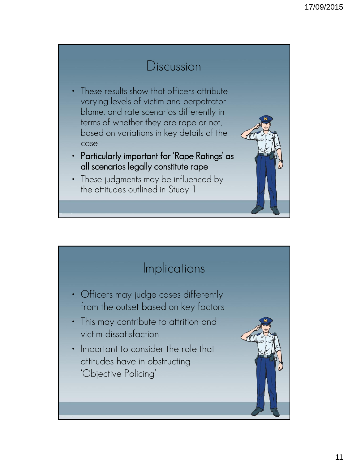### Discussion

- These results show that officers attribute varying levels of victim and perpetrator blame, and rate scenarios differently in terms of whether they are rape or not, based on variations in key details of the case
- Particularly important for 'Rape Ratings' as all scenarios legally constitute rape
- These judgments may be influenced by the attitudes outlined in Study 1

### **Implications**

- Officers may judge cases differently from the outset based on key factors
- This may contribute to attrition and victim dissatisfaction
- Important to consider the role that attitudes have in obstructing 'Objective Policing'

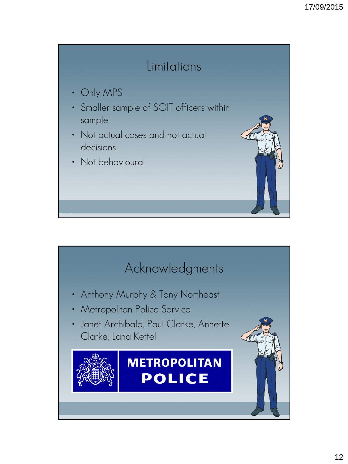### Limitations

- Only MPS
- Smaller sample of SOIT officers within sample
- Not actual cases and not actual decisions
- Not behavioural

# Acknowledgments

- Anthony Murphy & Tony Northeast
- Metropolitan Police Service
- Janet Archibald, Paul Clarke, Annette Clarke, Lana Kettel